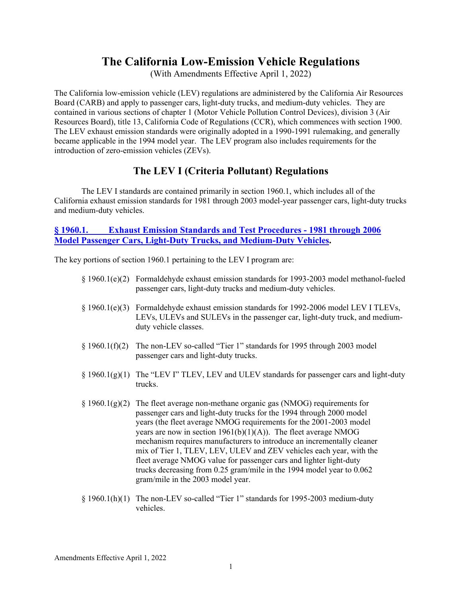# **The California Low-Emission Vehicle Regulations**

(With Amendments Effective April 1, 2022)

The California low-emission vehicle (LEV) regulations are administered by the California Air Resources Board (CARB) and apply to passenger cars, light-duty trucks, and medium-duty vehicles. They are contained in various sections of chapter 1 (Motor Vehicle Pollution Control Devices), division 3 (Air Resources Board), title 13, California Code of Regulations (CCR), which commences with section 1900. The LEV exhaust emission standards were originally adopted in a 1990-1991 rulemaking, and generally became applicable in the 1994 model year. The LEV program also includes requirements for the introduction of zero-emission vehicles (ZEVs).

## **The LEV I (Criteria Pollutant) Regulations**

The LEV I standards are contained primarily in section 1960.1, which includes all of the California exhaust emission standards for 1981 through 2003 model-year passenger cars, light-duty trucks and medium-duty vehicles.

### **§ 1960.1. [Exhaust Emission Standards and Test Procedures -](https://govt.westlaw.com/calregs/Document/I6F63A8502DDD11E197D9B83B68A61150?viewType=FullText&originationContext=documenttoc&transitionType=CategoryPageItem&contextData=(sc.Default)) 1981 through 2006 [Model Passenger Cars, Light-Duty Trucks, and Medium-Duty Vehicles](https://govt.westlaw.com/calregs/Document/I6F63A8502DDD11E197D9B83B68A61150?viewType=FullText&originationContext=documenttoc&transitionType=CategoryPageItem&contextData=(sc.Default)).**

The key portions of section 1960.1 pertaining to the LEV I program are:

- § 1960.1(e)(2) Formaldehyde exhaust emission standards for 1993-2003 model methanol-fueled passenger cars, light-duty trucks and medium-duty vehicles.
- § 1960.1(e)(3) Formaldehyde exhaust emission standards for 1992-2006 model LEV I TLEVs, LEVs, ULEVs and SULEVs in the passenger car, light-duty truck, and mediumduty vehicle classes.
- § 1960.1(f)(2) The non-LEV so-called "Tier 1" standards for 1995 through 2003 model passenger cars and light-duty trucks.
- $\S 1960.1(g)(1)$  The "LEV I" TLEV, LEV and ULEV standards for passenger cars and light-duty trucks.
- $\S 1960.1(g)(2)$  The fleet average non-methane organic gas (NMOG) requirements for passenger cars and light-duty trucks for the 1994 through 2000 model years (the fleet average NMOG requirements for the 2001-2003 model years are now in section  $1961(b)(1)(A)$ . The fleet average NMOG mechanism requires manufacturers to introduce an incrementally cleaner mix of Tier 1, TLEV, LEV, ULEV and ZEV vehicles each year, with the fleet average NMOG value for passenger cars and lighter light-duty trucks decreasing from 0.25 gram/mile in the 1994 model year to 0.062 gram/mile in the 2003 model year.
- § 1960.1(h)(1) The non-LEV so-called "Tier 1" standards for 1995-2003 medium-duty vehicles.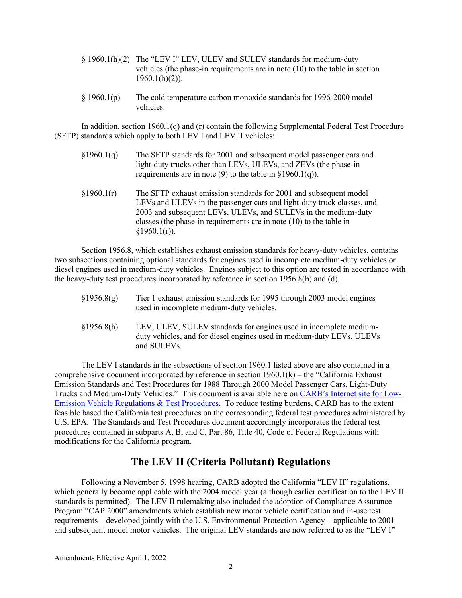- § 1960.1(h)(2) The "LEV I" LEV, ULEV and SULEV standards for medium-duty vehicles (the phase-in requirements are in note (10) to the table in section  $1960.1(h)(2)$ ).
- § 1960.1(p) The cold temperature carbon monoxide standards for 1996-2000 model vehicles.

In addition, section 1960.1(q) and (r) contain the following Supplemental Federal Test Procedure (SFTP) standards which apply to both LEV I and LEV II vehicles:

- §1960.1(q) The SFTP standards for 2001 and subsequent model passenger cars and light-duty trucks other than LEVs, ULEVs, and ZEVs (the phase-in requirements are in note (9) to the table in  $\S 1960.1(q)$ ).
- §1960.1(r) The SFTP exhaust emission standards for 2001 and subsequent model LEVs and ULEVs in the passenger cars and light-duty truck classes, and 2003 and subsequent LEVs, ULEVs, and SULEVs in the medium-duty classes (the phase-in requirements are in note (10) to the table in  $$1960.1(r)$ ).

Section 1956.8, which establishes exhaust emission standards for heavy-duty vehicles, contains two subsections containing optional standards for engines used in incomplete medium-duty vehicles or diesel engines used in medium-duty vehicles. Engines subject to this option are tested in accordance with the heavy-duty test procedures incorporated by reference in section 1956.8(b) and (d).

- §1956.8(g) Tier 1 exhaust emission standards for 1995 through 2003 model engines used in incomplete medium-duty vehicles.
- §1956.8(h) LEV, ULEV, SULEV standards for engines used in incomplete mediumduty vehicles, and for diesel engines used in medium-duty LEVs, ULEVs and SULEVs.

The LEV I standards in the subsections of section 1960.1 listed above are also contained in a comprehensive document incorporated by reference in section  $1960.1(k)$  – the "California Exhaust" Emission Standards and Test Procedures for 1988 Through 2000 Model Passenger Cars, Light-Duty Trucks and Medium-Duty Vehicles." This document is available here on [CARB's Internet site](https://ww2.arb.ca.gov/our-work/programs/advanced-clean-cars-program/lev-program/low-emission-vehicle-regulations-test) for Low-[Emission Vehicle Regulations & Test Procedures.](https://ww2.arb.ca.gov/our-work/programs/advanced-clean-cars-program/lev-program/low-emission-vehicle-regulations-test) To reduce testing burdens, CARB has to the extent feasible based the California test procedures on the corresponding federal test procedures administered by U.S. EPA. The Standards and Test Procedures document accordingly incorporates the federal test procedures contained in subparts A, B, and C, Part 86, Title 40, Code of Federal Regulations with modifications for the California program.

## **The LEV II (Criteria Pollutant) Regulations**

Following a November 5, 1998 hearing, CARB adopted the California "LEV II" regulations, which generally become applicable with the 2004 model year (although earlier certification to the LEV II standards is permitted). The LEV II rulemaking also included the adoption of Compliance Assurance Program "CAP 2000" amendments which establish new motor vehicle certification and in-use test requirements – developed jointly with the U.S. Environmental Protection Agency – applicable to 2001 and subsequent model motor vehicles. The original LEV standards are now referred to as the "LEV I"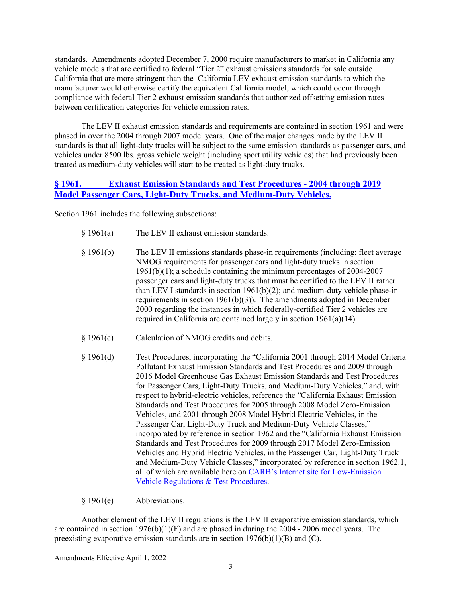standards. Amendments adopted December 7, 2000 require manufacturers to market in California any vehicle models that are certified to federal "Tier 2" exhaust emissions standards for sale outside California that are more stringent than the California LEV exhaust emission standards to which the manufacturer would otherwise certify the equivalent California model, which could occur through compliance with federal Tier 2 exhaust emission standards that authorized offsetting emission rates between certification categories for vehicle emission rates.

The LEV II exhaust emission standards and requirements are contained in section 1961 and were phased in over the 2004 through 2007 model years. One of the major changes made by the LEV II standards is that all light-duty trucks will be subject to the same emission standards as passenger cars, and vehicles under 8500 lbs. gross vehicle weight (including sport utility vehicles) that had previously been treated as medium-duty vehicles will start to be treated as light-duty trucks.

#### **§ 1961. [Exhaust Emission Standards and Test Procedures -](https://govt.westlaw.com/calregs/Document/I235C4E70EAF311E1842FFBCFD449CC8B?viewType=FullText&originationContext=documenttoc&transitionType=CategoryPageItem&contextData=(sc.Default)) 2004 through 2019 [Model Passenger Cars, Light-Duty Trucks, and Medium-Duty Vehicles.](https://govt.westlaw.com/calregs/Document/I235C4E70EAF311E1842FFBCFD449CC8B?viewType=FullText&originationContext=documenttoc&transitionType=CategoryPageItem&contextData=(sc.Default))**

Section 1961 includes the following subsections:

- § 1961(a) The LEV II exhaust emission standards.
- § 1961(b) The LEV II emissions standards phase-in requirements (including: fleet average NMOG requirements for passenger cars and light-duty trucks in section 1961(b)(1); a schedule containing the minimum percentages of 2004-2007 passenger cars and light-duty trucks that must be certified to the LEV II rather than LEV I standards in section 1961(b)(2); and medium-duty vehicle phase-in requirements in section 1961(b)(3)). The amendments adopted in December 2000 regarding the instances in which federally-certified Tier 2 vehicles are required in California are contained largely in section 1961(a)(14).
- § 1961(c) Calculation of NMOG credits and debits.
- § 1961(d) Test Procedures, incorporating the "California 2001 through 2014 Model Criteria Pollutant Exhaust Emission Standards and Test Procedures and 2009 through 2016 Model Greenhouse Gas Exhaust Emission Standards and Test Procedures for Passenger Cars, Light-Duty Trucks, and Medium-Duty Vehicles," and, with respect to hybrid-electric vehicles, reference the "California Exhaust Emission Standards and Test Procedures for 2005 through 2008 Model Zero-Emission Vehicles, and 2001 through 2008 Model Hybrid Electric Vehicles, in the Passenger Car, Light-Duty Truck and Medium-Duty Vehicle Classes," incorporated by reference in section 1962 and the "California Exhaust Emission Standards and Test Procedures for 2009 through 2017 Model Zero-Emission Vehicles and Hybrid Electric Vehicles, in the Passenger Car, Light-Duty Truck and Medium-Duty Vehicle Classes," incorporated by reference in section 1962.1, all of which are available here on CARB's Internet site [for Low-Emission](https://ww2.arb.ca.gov/our-work/programs/advanced-clean-cars-program/lev-program/low-emission-vehicle-regulations-test)  [Vehicle Regulations & Test Procedures](https://ww2.arb.ca.gov/our-work/programs/advanced-clean-cars-program/lev-program/low-emission-vehicle-regulations-test).

#### § 1961(e) Abbreviations.

Another element of the LEV II regulations is the LEV II evaporative emission standards, which are contained in section  $1976(b)(1)(F)$  and are phased in during the 2004 - 2006 model years. The preexisting evaporative emission standards are in section  $1976(b)(1)(B)$  and (C).

Amendments Effective April 1, 2022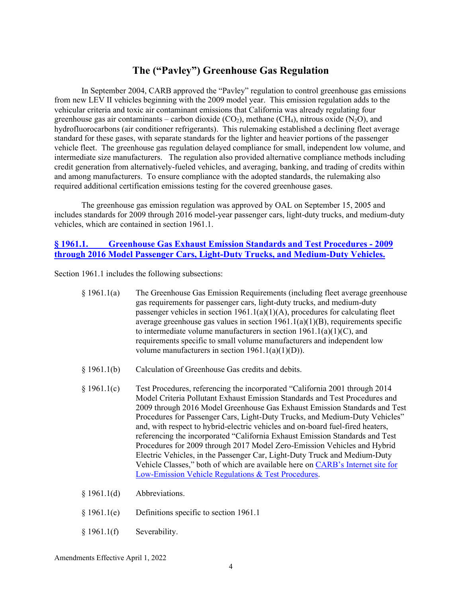## **The ("Pavley") Greenhouse Gas Regulation**

In September 2004, CARB approved the "Pavley" regulation to control greenhouse gas emissions from new LEV II vehicles beginning with the 2009 model year. This emission regulation adds to the vehicular criteria and toxic air contaminant emissions that California was already regulating four greenhouse gas air contaminants – carbon dioxide  $(CO_2)$ , methane  $(CH_4)$ , nitrous oxide  $(N_2O)$ , and hydrofluorocarbons (air conditioner refrigerants). This rulemaking established a declining fleet average standard for these gases, with separate standards for the lighter and heavier portions of the passenger vehicle fleet. The greenhouse gas regulation delayed compliance for small, independent low volume, and intermediate size manufacturers. The regulation also provided alternative compliance methods including credit generation from alternatively-fueled vehicles, and averaging, banking, and trading of credits within and among manufacturers. To ensure compliance with the adopted standards, the rulemaking also required additional certification emissions testing for the covered greenhouse gases.

The greenhouse gas emission regulation was approved by OAL on September 15, 2005 and includes standards for 2009 through 2016 model-year passenger cars, light-duty trucks, and medium-duty vehicles, which are contained in section 1961.1.

### **§ 1961.1. [Greenhouse Gas Exhaust Emission Standards and Test Procedures -](https://govt.westlaw.com/calregs/Document/I239EFCC0EAF311E1842FFBCFD449CC8B?viewType=FullText&originationContext=documenttoc&transitionType=CategoryPageItem&contextData=(sc.Default)) 2009 [through 2016 Model Passenger Cars, Light-Duty Trucks, and Medium-Duty Vehicles.](https://govt.westlaw.com/calregs/Document/I239EFCC0EAF311E1842FFBCFD449CC8B?viewType=FullText&originationContext=documenttoc&transitionType=CategoryPageItem&contextData=(sc.Default))**

Section 1961.1 includes the following subsections:

| \$1961.1(a) | The Greenhouse Gas Emission Requirements (including fleet average greenhouse       |
|-------------|------------------------------------------------------------------------------------|
|             | gas requirements for passenger cars, light-duty trucks, and medium-duty            |
|             | passenger vehicles in section $1961.1(a)(1)(A)$ , procedures for calculating fleet |
|             | average greenhouse gas values in section $1961.1(a)(1)(B)$ , requirements specific |
|             | to intermediate volume manufacturers in section $1961.1(a)(1)(C)$ , and            |
|             | requirements specific to small volume manufacturers and independent low            |
|             | volume manufacturers in section $1961.1(a)(1)(D)$ .                                |

- § 1961.1(b) Calculation of Greenhouse Gas credits and debits.
- § 1961.1(c) Test Procedures, referencing the incorporated "California 2001 through 2014 Model Criteria Pollutant Exhaust Emission Standards and Test Procedures and 2009 through 2016 Model Greenhouse Gas Exhaust Emission Standards and Test Procedures for Passenger Cars, Light-Duty Trucks, and Medium-Duty Vehicles" and, with respect to hybrid-electric vehicles and on-board fuel-fired heaters, referencing the incorporated "California Exhaust Emission Standards and Test Procedures for 2009 through 2017 Model Zero-Emission Vehicles and Hybrid Electric Vehicles, in the Passenger Car, Light-Duty Truck and Medium-Duty Vehicle Classes," both of which are available here on [CARB's Internet site](https://ww2.arb.ca.gov/our-work/programs/advanced-clean-cars-program/lev-program/low-emission-vehicle-regulations-test) for [Low-Emission Vehicle Regulations & Test Procedures.](https://ww2.arb.ca.gov/our-work/programs/advanced-clean-cars-program/lev-program/low-emission-vehicle-regulations-test)
- § 1961.1(d) Abbreviations.
- § 1961.1(e) Definitions specific to section 1961.1
- § 1961.1(f) Severability.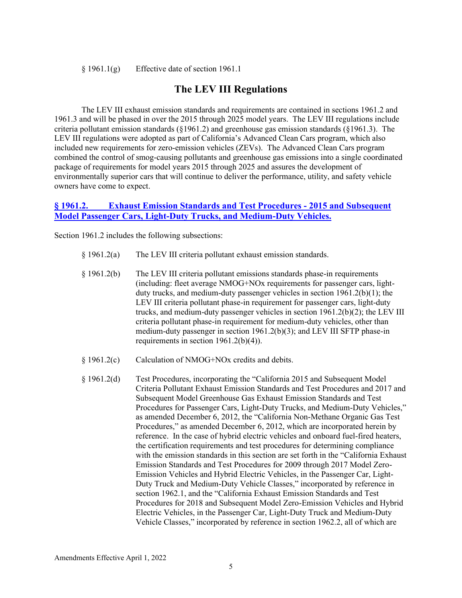$§ 1961.1(g)$  Effective date of section 1961.1

### **The LEV III Regulations**

The LEV III exhaust emission standards and requirements are contained in sections 1961.2 and 1961.3 and will be phased in over the 2015 through 2025 model years. The LEV III regulations include criteria pollutant emission standards (§1961.2) and greenhouse gas emission standards (§1961.3). The LEV III regulations were adopted as part of California's Advanced Clean Cars program, which also included new requirements for zero-emission vehicles (ZEVs). The Advanced Clean Cars program combined the control of smog-causing pollutants and greenhouse gas emissions into a single coordinated package of requirements for model years 2015 through 2025 and assures the development of environmentally superior cars that will continue to deliver the performance, utility, and safety vehicle owners have come to expect.

#### **§ 1961.2. [Exhaust Emission Standards and Test Procedures -](https://govt.westlaw.com/calregs/Document/IEBE933EFFBD542D68DCFF733916BB36F?viewType=FullText&originationContext=documenttoc&transitionType=CategoryPageItem&contextData=(sc.Default)) 2015 and Subsequent [Model Passenger Cars, Light-Duty Trucks, and Medium-Duty Vehicles.](https://govt.westlaw.com/calregs/Document/IEBE933EFFBD542D68DCFF733916BB36F?viewType=FullText&originationContext=documenttoc&transitionType=CategoryPageItem&contextData=(sc.Default))**

Section 1961.2 includes the following subsections:

- § 1961.2(a) The LEV III criteria pollutant exhaust emission standards.
- § 1961.2(b) The LEV III criteria pollutant emissions standards phase-in requirements (including: fleet average NMOG+NOx requirements for passenger cars, lightduty trucks, and medium-duty passenger vehicles in section 1961.2(b)(1); the LEV III criteria pollutant phase-in requirement for passenger cars, light-duty trucks, and medium-duty passenger vehicles in section 1961.2(b)(2); the LEV III criteria pollutant phase-in requirement for medium-duty vehicles, other than medium-duty passenger in section 1961.2(b)(3); and LEV III SFTP phase-in requirements in section 1961.2(b)(4)).
- § 1961.2(c) Calculation of NMOG+NOx credits and debits.
- § 1961.2(d) Test Procedures, incorporating the "California 2015 and Subsequent Model Criteria Pollutant Exhaust Emission Standards and Test Procedures and 2017 and Subsequent Model Greenhouse Gas Exhaust Emission Standards and Test Procedures for Passenger Cars, Light-Duty Trucks, and Medium-Duty Vehicles," as amended December 6, 2012, the "California Non-Methane Organic Gas Test Procedures," as amended December 6, 2012, which are incorporated herein by reference. In the case of hybrid electric vehicles and onboard fuel-fired heaters, the certification requirements and test procedures for determining compliance with the emission standards in this section are set forth in the "California Exhaust Emission Standards and Test Procedures for 2009 through 2017 Model Zero-Emission Vehicles and Hybrid Electric Vehicles, in the Passenger Car, Light-Duty Truck and Medium-Duty Vehicle Classes," incorporated by reference in section 1962.1, and the "California Exhaust Emission Standards and Test Procedures for 2018 and Subsequent Model Zero-Emission Vehicles and Hybrid Electric Vehicles, in the Passenger Car, Light-Duty Truck and Medium-Duty Vehicle Classes," incorporated by reference in section 1962.2, all of which are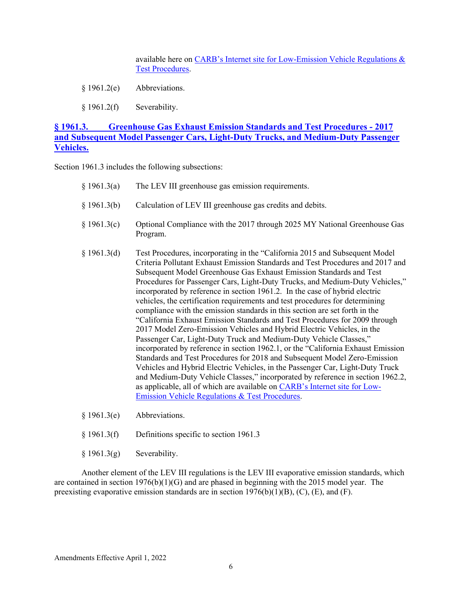available here on [CARB's Internet site for Low-Emission Vehicle Regulations &](https://ww2.arb.ca.gov/our-work/programs/advanced-clean-cars-program/lev-program/low-emission-vehicle-regulations-test)  [Test Procedures.](https://ww2.arb.ca.gov/our-work/programs/advanced-clean-cars-program/lev-program/low-emission-vehicle-regulations-test)

- § 1961.2(e) Abbreviations.
- § 1961.2(f) Severability.

#### **§ 1961.3. [Greenhouse Gas Exhaust Emission Standards and Test Procedures -](https://govt.westlaw.com/calregs/Document/I069E36711EEF42E69EBB47A4B3E2A124?viewType=FullText&originationContext=documenttoc&transitionType=CategoryPageItem&contextData=(sc.Default)) 2017 [and Subsequent Model Passenger Cars, Light-Duty Trucks, and Medium-Duty Passenger](https://govt.westlaw.com/calregs/Document/I069E36711EEF42E69EBB47A4B3E2A124?viewType=FullText&originationContext=documenttoc&transitionType=CategoryPageItem&contextData=(sc.Default))  [Vehicles.](https://govt.westlaw.com/calregs/Document/I069E36711EEF42E69EBB47A4B3E2A124?viewType=FullText&originationContext=documenttoc&transitionType=CategoryPageItem&contextData=(sc.Default))**

Section 1961.3 includes the following subsections:

| § 1961.3(a)   | The LEV III greenhouse gas emission requirements.                                                                                                                                                                                                                                                                                                                                                                                                                                                                                                                                                                                                                                                                                                                                                                                                                                                                                                                                                                                                                                                                                                                                                                                                                                |
|---------------|----------------------------------------------------------------------------------------------------------------------------------------------------------------------------------------------------------------------------------------------------------------------------------------------------------------------------------------------------------------------------------------------------------------------------------------------------------------------------------------------------------------------------------------------------------------------------------------------------------------------------------------------------------------------------------------------------------------------------------------------------------------------------------------------------------------------------------------------------------------------------------------------------------------------------------------------------------------------------------------------------------------------------------------------------------------------------------------------------------------------------------------------------------------------------------------------------------------------------------------------------------------------------------|
| § 1961.3(b)   | Calculation of LEV III greenhouse gas credits and debits.                                                                                                                                                                                                                                                                                                                                                                                                                                                                                                                                                                                                                                                                                                                                                                                                                                                                                                                                                                                                                                                                                                                                                                                                                        |
| § 1961.3(c)   | Optional Compliance with the 2017 through 2025 MY National Greenhouse Gas<br>Program.                                                                                                                                                                                                                                                                                                                                                                                                                                                                                                                                                                                                                                                                                                                                                                                                                                                                                                                                                                                                                                                                                                                                                                                            |
| $§$ 1961.3(d) | Test Procedures, incorporating in the "California 2015 and Subsequent Model<br>Criteria Pollutant Exhaust Emission Standards and Test Procedures and 2017 and<br>Subsequent Model Greenhouse Gas Exhaust Emission Standards and Test<br>Procedures for Passenger Cars, Light-Duty Trucks, and Medium-Duty Vehicles,"<br>incorporated by reference in section 1961.2. In the case of hybrid electric<br>vehicles, the certification requirements and test procedures for determining<br>compliance with the emission standards in this section are set forth in the<br>"California Exhaust Emission Standards and Test Procedures for 2009 through<br>2017 Model Zero-Emission Vehicles and Hybrid Electric Vehicles, in the<br>Passenger Car, Light-Duty Truck and Medium-Duty Vehicle Classes,"<br>incorporated by reference in section 1962.1, or the "California Exhaust Emission<br>Standards and Test Procedures for 2018 and Subsequent Model Zero-Emission<br>Vehicles and Hybrid Electric Vehicles, in the Passenger Car, Light-Duty Truck<br>and Medium-Duty Vehicle Classes," incorporated by reference in section 1962.2,<br>as applicable, all of which are available on CARB's Internet site for Low-<br><b>Emission Vehicle Regulations &amp; Test Procedures.</b> |

- § 1961.3(e) Abbreviations.
- § 1961.3(f) Definitions specific to section 1961.3
- § 1961.3(g) Severability.

Another element of the LEV III regulations is the LEV III evaporative emission standards, which are contained in section 1976(b)(1)(G) and are phased in beginning with the 2015 model year. The preexisting evaporative emission standards are in section  $1976(b)(1)(B)$ , (C), (E), and (F).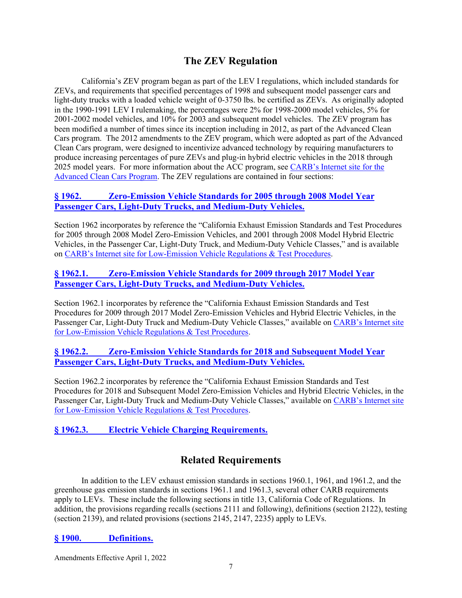## **The ZEV Regulation**

California's ZEV program began as part of the LEV I regulations, which included standards for ZEVs, and requirements that specified percentages of 1998 and subsequent model passenger cars and light-duty trucks with a loaded vehicle weight of 0-3750 lbs. be certified as ZEVs. As originally adopted in the 1990-1991 LEV I rulemaking, the percentages were 2% for 1998-2000 model vehicles, 5% for 2001-2002 model vehicles, and 10% for 2003 and subsequent model vehicles. The ZEV program has been modified a number of times since its inception including in 2012, as part of the Advanced Clean Cars program. The 2012 amendments to the ZEV program, which were adopted as part of the Advanced Clean Cars program, were designed to incentivize advanced technology by requiring manufacturers to produce increasing percentages of pure ZEVs and plug-in hybrid electric vehicles in the 2018 through 2025 model years. For more information about the ACC program, see [CARB's Internet site](https://ww2.arb.ca.gov/our-work/programs/advanced-clean-cars-program) for the [Advanced Clean Cars Program](https://ww2.arb.ca.gov/our-work/programs/advanced-clean-cars-program). The ZEV regulations are contained in four sections:

#### **§ 1962. [Zero-Emission Vehicle Standards for 2005 through 2008 Model Year](https://govt.westlaw.com/calregs/Document/I71B0CCA02DDD11E197D9B83B68A61150?viewType=FullText&originationContext=documenttoc&transitionType=CategoryPageItem&contextData=(sc.Default))  [Passenger Cars, Light-Duty Trucks, and Medium-Duty Vehicles.](https://govt.westlaw.com/calregs/Document/I71B0CCA02DDD11E197D9B83B68A61150?viewType=FullText&originationContext=documenttoc&transitionType=CategoryPageItem&contextData=(sc.Default))**

Section 1962 incorporates by reference the "California Exhaust Emission Standards and Test Procedures for 2005 through 2008 Model Zero-Emission Vehicles, and 2001 through 2008 Model Hybrid Electric Vehicles, in the Passenger Car, Light-Duty Truck, and Medium-Duty Vehicle Classes," and is available on CARB's Internet site [for Low-Emission Vehicle Regulations & Test Procedures](https://ww2.arb.ca.gov/our-work/programs/advanced-clean-cars-program/lev-program/low-emission-vehicle-regulations-test).

#### **§ 1962.1. [Zero-Emission Vehicle Standards for 2009 through 2017 Model Year](https://govt.westlaw.com/calregs/Document/I02F7CF3BEC9A4900836369DF7575BB09?viewType=FullText&originationContext=documenttoc&transitionType=CategoryPageItem&contextData=(sc.Default))  [Passenger Cars, Light-Duty Trucks, and Medium-Duty Vehicles.](https://govt.westlaw.com/calregs/Document/I02F7CF3BEC9A4900836369DF7575BB09?viewType=FullText&originationContext=documenttoc&transitionType=CategoryPageItem&contextData=(sc.Default))**

Section 1962.1 incorporates by reference the "California Exhaust Emission Standards and Test Procedures for 2009 through 2017 Model Zero-Emission Vehicles and Hybrid Electric Vehicles, in the Passenger Car, Light-Duty Truck and Medium-Duty Vehicle Classes," available on [CARB's Internet site](https://ww2.arb.ca.gov/our-work/programs/advanced-clean-cars-program/lev-program/low-emission-vehicle-regulations-test) [for Low-Emission Vehicle Regulations & Test Procedures](https://ww2.arb.ca.gov/our-work/programs/advanced-clean-cars-program/lev-program/low-emission-vehicle-regulations-test).

### **§ 1962.2. [Zero-Emission Vehicle Standards for 2018 and Subsequent Model Year](https://govt.westlaw.com/calregs/Document/I505CA51BB0AD454499B57FC8B03D7856?viewType=FullText&originationContext=documenttoc&transitionType=CategoryPageItem&contextData=(sc.Default))  [Passenger Cars, Light-Duty Trucks, and Medium-Duty Vehicles.](https://govt.westlaw.com/calregs/Document/I505CA51BB0AD454499B57FC8B03D7856?viewType=FullText&originationContext=documenttoc&transitionType=CategoryPageItem&contextData=(sc.Default))**

Section 1962.2 incorporates by reference the "California Exhaust Emission Standards and Test Procedures for 2018 and Subsequent Model Zero-Emission Vehicles and Hybrid Electric Vehicles, in the Passenger Car, Light-Duty Truck and Medium-Duty Vehicle Classes," available on [CARB's Internet site](https://ww2.arb.ca.gov/our-work/programs/advanced-clean-cars-program/lev-program/low-emission-vehicle-regulations-test) [for Low-Emission Vehicle Regulations & Test Procedures](https://ww2.arb.ca.gov/our-work/programs/advanced-clean-cars-program/lev-program/low-emission-vehicle-regulations-test).

## **§ 1962.3. [Electric Vehicle Charging Requirements.](https://govt.westlaw.com/calregs/Document/I24CAF9A0EAF311E1842FFBCFD449CC8B?viewType=FullText&originationContext=documenttoc&transitionType=CategoryPageItem&contextData=(sc.Default))**

## **Related Requirements**

In addition to the LEV exhaust emission standards in sections 1960.1, 1961, and 1961.2, and the greenhouse gas emission standards in sections 1961.1 and 1961.3, several other CARB requirements apply to LEVs. These include the following sections in title 13, California Code of Regulations. In addition, the provisions regarding recalls (sections 2111 and following), definitions (section 2122), testing (section 2139), and related provisions (sections 2145, 2147, 2235) apply to LEVs.

#### **§ 1900. [Definitions.](https://govt.westlaw.com/calregs/Document/IC54AC1CEAB424E3A8ED4B43D1F638373?viewType=FullText&originationContext=documenttoc&transitionType=CategoryPageItem&contextData=(sc.Default))**

Amendments Effective April 1, 2022